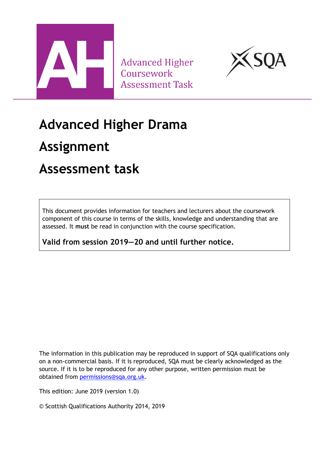

**Advanced Higher** Coursework **Assessment Task** 



## **Advanced Higher Drama**

### **Assignment**

### **Assessment task**

This document provides information for teachers and lecturers about the coursework component of this course in terms of the skills, knowledge and understanding that are assessed. It **must** be read in conjunction with the course specification.

**Valid from session 2019—20 and until further notice.** 

The information in this publication may be reproduced in support of SQA qualifications only on a non-commercial basis. If it is reproduced, SQA must be clearly acknowledged as the source. If it is to be reproduced for any other purpose, written permission must be obtained from [permissions@sqa.org.uk.](mailto:permissions@sqa.org.uk)

This edition: June 2019 (version 1.0)

© Scottish Qualifications Authority 2014, 2019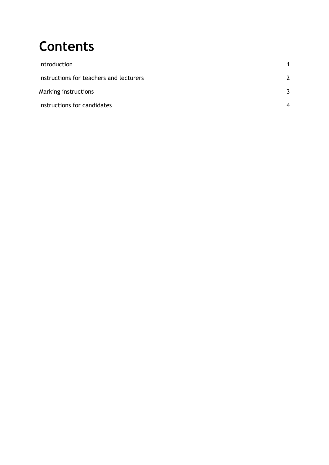# **Contents**

| Introduction                            |   |
|-----------------------------------------|---|
| Instructions for teachers and lecturers | 2 |
| Marking instructions                    | 3 |
| Instructions for candidates             |   |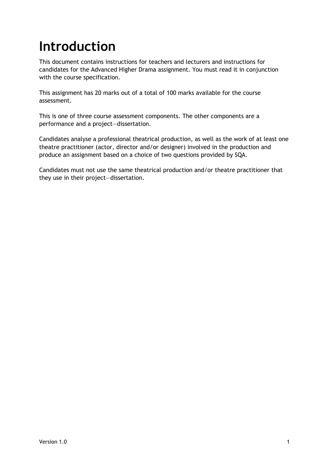# <span id="page-2-0"></span>**Introduction**

This document contains instructions for teachers and lecturers and instructions for candidates for the Advanced Higher Drama assignment. You must read it in conjunction with the course specification.

This assignment has 20 marks out of a total of 100 marks available for the course assessment.

This is one of three course assessment components. The other components are a performance and a project—dissertation.

Candidates analyse a professional theatrical production, as well as the work of at least one theatre practitioner (actor, director and/or designer) involved in the production and produce an assignment based on a choice of two questions provided by SQA.

Candidates must not use the same theatrical production and/or theatre practitioner that they use in their project—dissertation.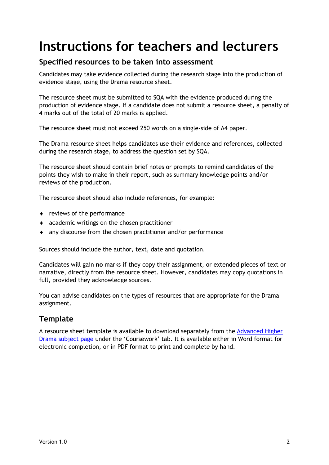## <span id="page-3-0"></span>**Instructions for teachers and lecturers**

#### **Specified resources to be taken into assessment**

Candidates may take evidence collected during the research stage into the production of evidence stage, using the Drama resource sheet.

The resource sheet must be submitted to SQA with the evidence produced during the production of evidence stage. If a candidate does not submit a resource sheet, a penalty of 4 marks out of the total of 20 marks is applied.

The resource sheet must not exceed 250 words on a single-side of A4 paper.

The Drama resource sheet helps candidates use their evidence and references, collected during the research stage, to address the question set by SQA.

The resource sheet should contain brief notes or prompts to remind candidates of the points they wish to make in their report, such as summary knowledge points and/or reviews of the production.

The resource sheet should also include references, for example:

- reviews of the performance
- academic writings on the chosen practitioner
- any discourse from the chosen practitioner and/or performance

Sources should include the author, text, date and quotation.

Candidates will gain **no** marks if they copy their assignment, or extended pieces of text or narrative, directly from the resource sheet. However, candidates may copy quotations in full, provided they acknowledge sources.

You can advise candidates on the types of resources that are appropriate for the Drama assignment.

#### **Template**

A resource sheet template is available to download separately from the [Advanced Higher](https://www.sqa.org.uk/sqa/48449.html)  [Drama subject page](https://www.sqa.org.uk/sqa/48449.html) under the 'Coursework' tab. It is available either in Word format for electronic completion, or in PDF format to print and complete by hand.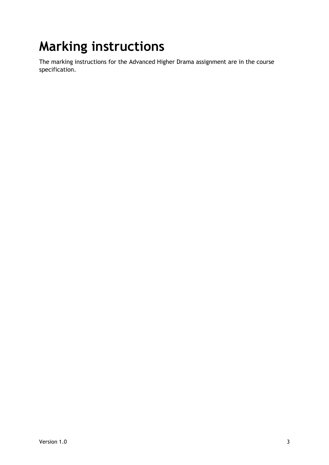# <span id="page-4-0"></span>**Marking instructions**

The marking instructions for the Advanced Higher Drama assignment are in the course specification.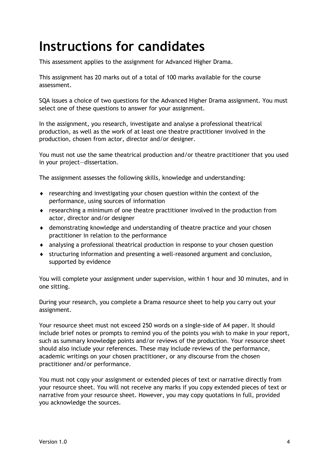## <span id="page-5-0"></span>**Instructions for candidates**

This assessment applies to the assignment for Advanced Higher Drama.

This assignment has 20 marks out of a total of 100 marks available for the course assessment.

SQA issues a choice of two questions for the Advanced Higher Drama assignment. You must select one of these questions to answer for your assignment.

In the assignment, you research, investigate and analyse a professional theatrical production, as well as the work of at least one theatre practitioner involved in the production, chosen from actor, director and/or designer.

You must not use the same theatrical production and/or theatre practitioner that you used in your project—dissertation.

The assignment assesses the following skills, knowledge and understanding:

- researching and investigating your chosen question within the context of the performance, using sources of information
- researching a minimum of one theatre practitioner involved in the production from actor, director and/or designer
- demonstrating knowledge and understanding of theatre practice and your chosen practitioner in relation to the performance
- analysing a professional theatrical production in response to your chosen question
- structuring information and presenting a well-reasoned argument and conclusion, supported by evidence

You will complete your assignment under supervision, within 1 hour and 30 minutes, and in one sitting.

During your research, you complete a Drama resource sheet to help you carry out your assignment.

Your resource sheet must not exceed 250 words on a single-side of A4 paper. It should include brief notes or prompts to remind you of the points you wish to make in your report, such as summary knowledge points and/or reviews of the production. Your resource sheet should also include your references. These may include reviews of the performance, academic writings on your chosen practitioner, or any discourse from the chosen practitioner and/or performance.

You must not copy your assignment or extended pieces of text or narrative directly from your resource sheet. You will not receive any marks if you copy extended pieces of text or narrative from your resource sheet. However, you may copy quotations in full, provided you acknowledge the sources.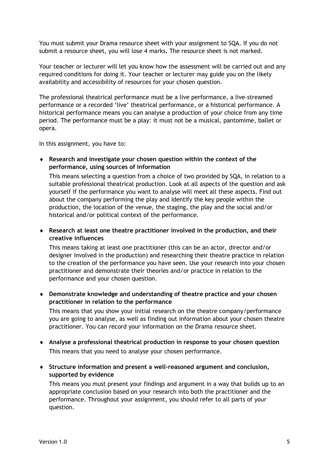You must submit your Drama resource sheet with your assignment to SQA. If you do not submit a resource sheet, you will lose 4 marks. The resource sheet is not marked.

Your teacher or lecturer will let you know how the assessment will be carried out and any required conditions for doing it. Your teacher or lecturer may guide you on the likely availability and accessibility of resources for your chosen question.

The professional theatrical performance must be a live performance, a live-streamed performance or a recorded 'live' theatrical performance, or a historical performance. A historical performance means you can analyse a production of your choice from any time period. The performance must be a play: it must not be a musical, pantomime, ballet or opera.

In this assignment, you have to:

 **Research and investigate your chosen question within the context of the performance, using sources of information**

This means selecting a question from a choice of two provided by SQA, in relation to a suitable professional theatrical production. Look at all aspects of the question and ask yourself if the performance you want to analyse will meet all these aspects. Find out about the company performing the play and identify the key people within the production, the location of the venue, the staging, the play and the social and/or historical and/or political context of the performance.

 **Research at least one theatre practitioner involved in the production, and their creative influences**

This means taking at least one practitioner (this can be an actor, director and/or designer involved in the production) and researching their theatre practice in relation to the creation of the performance you have seen. Use your research into your chosen practitioner and demonstrate their theories and/or practice in relation to the performance and your chosen question.

 **Demonstrate knowledge and understanding of theatre practice and your chosen practitioner in relation to the performance**

This means that you show your initial research on the theatre company/performance you are going to analyse, as well as finding out information about your chosen theatre practitioner. You can record your information on the Drama resource sheet.

- **Analyse a professional theatrical production in response to your chosen question** This means that you need to analyse your chosen performance.
- **Structure information and present a well-reasoned argument and conclusion, supported by evidence**

This means you must present your findings and argument in a way that builds up to an appropriate conclusion based on your research into both the practitioner and the performance. Throughout your assignment, you should refer to all parts of your question.